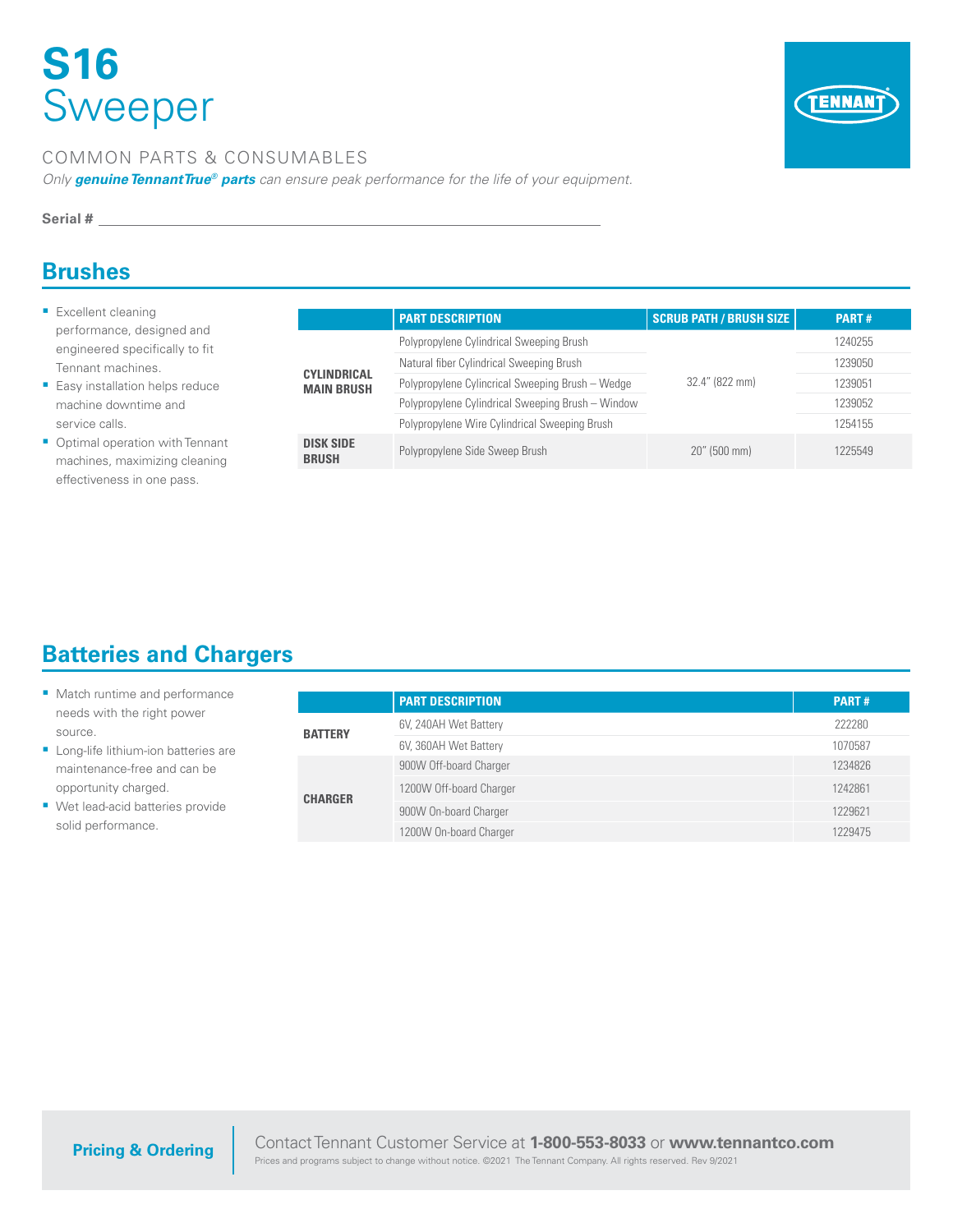# **S16**  Sweeper



#### COMMON PARTS & CONSUMABLES

*Only genuine TennantTrue® parts can ensure peak performance for the life of your equipment.*

#### **Serial #**

#### **Brushes**

- **Excellent cleaning** performance, designed and engineered specifically to fit Tennant machines.
- **Easy installation helps reduce** machine downtime and service calls.
- Optimal operation with Tennant machines, maximizing cleaning effectiveness in one pass.

|                                         | <b>PART DESCRIPTION</b>                           | <b>SCRUB PATH / BRUSH SIZE</b> | <b>PART#</b> |
|-----------------------------------------|---------------------------------------------------|--------------------------------|--------------|
| <b>CYLINDRICAL</b><br><b>MAIN BRUSH</b> | Polypropylene Cylindrical Sweeping Brush          |                                | 1240255      |
|                                         | Natural fiber Cylindrical Sweeping Brush          |                                | 1239050      |
|                                         | Polypropylene Cylincrical Sweeping Brush - Wedge  | 32.4" (822 mm)                 | 1239051      |
|                                         | Polypropylene Cylindrical Sweeping Brush - Window |                                | 1239052      |
|                                         | Polypropylene Wire Cylindrical Sweeping Brush     |                                | 1254155      |
| <b>DISK SIDE</b><br><b>BRUSH</b>        | Polypropylene Side Sweep Brush                    | $20''$ (500 mm)                | 1225549      |

## **Batteries and Chargers**

| Match runtime and performance         |                | <b>PART DESCRIPTION</b> | <b>PART#</b> |
|---------------------------------------|----------------|-------------------------|--------------|
| needs with the right power<br>source. | <b>BATTERY</b> | 6V, 240AH Wet Battery   | 222280       |
| Long-life lithium-ion batteries are   |                | 6V, 360AH Wet Battery   | 1070587      |
| maintenance-free and can be           | <b>CHARGER</b> | 900W Off-board Charger  | 1234826      |
| opportunity charged.                  |                | 1200W Off-board Charger | 1242861      |
| Wet lead-acid batteries provide       |                | 900W On-board Charger   | 1229621      |
| solid performance.                    |                | 1200W On-board Charger  | 1229475      |